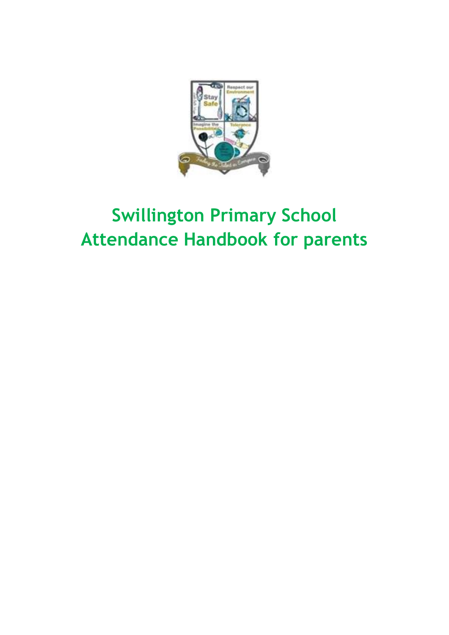

# **Swillington Primary School Attendance Handbook for parents**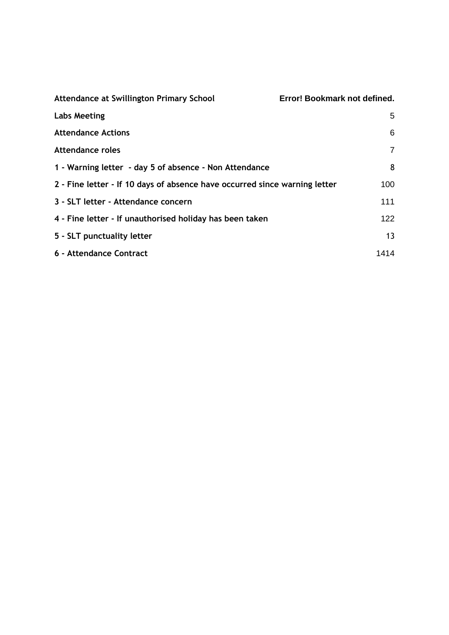| Attendance at Swillington Primary School                                   | Error! Bookmark not defined. |
|----------------------------------------------------------------------------|------------------------------|
| <b>Labs Meeting</b>                                                        | 5                            |
| <b>Attendance Actions</b>                                                  | 6                            |
| <b>Attendance roles</b>                                                    | $\overline{7}$               |
| 1 - Warning letter - day 5 of absence - Non Attendance                     | 8                            |
| 2 - Fine letter - If 10 days of absence have occurred since warning letter | 100                          |
| 3 - SLT letter - Attendance concern                                        | 111                          |
| 4 - Fine letter - If unauthorised holiday has been taken                   | 122                          |
| 5 - SLT punctuality letter                                                 | 13                           |
| 6 - Attendance Contract                                                    | 1414                         |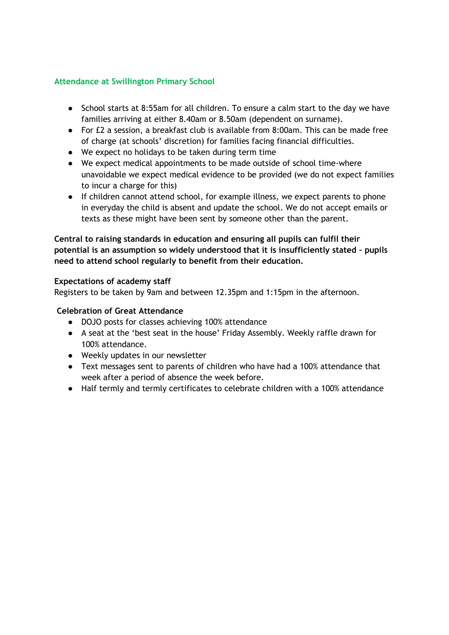## **Attendance at Swillington Primary School**

- School starts at 8:55am for all children. To ensure a calm start to the day we have families arriving at either 8.40am or 8.50am (dependent on surname).
- For £2 a session, a breakfast club is available from 8:00am. This can be made free of charge (at schools' discretion) for families facing financial difficulties.
- We expect no holidays to be taken during term time
- We expect medical appointments to be made outside of school time-where unavoidable we expect medical evidence to be provided (we do not expect families to incur a charge for this)
- If children cannot attend school, for example illness, we expect parents to phone in everyday the child is absent and update the school. We do not accept emails or texts as these might have been sent by someone other than the parent.

## **Central to raising standards in education and ensuring all pupils can fulfil their potential is an assumption so widely understood that it is insufficiently stated – pupils need to attend school regularly to benefit from their education.**

## **Expectations of academy staff**

Registers to be taken by 9am and between 12.35pm and 1:15pm in the afternoon.

## **Celebration of Great Attendance**

- DOJO posts for classes achieving 100% attendance
- A seat at the 'best seat in the house' Friday Assembly. Weekly raffle drawn for 100% attendance.
- Weekly updates in our newsletter
- Text messages sent to parents of children who have had a 100% attendance that week after a period of absence the week before.
- Half termly and termly certificates to celebrate children with a 100% attendance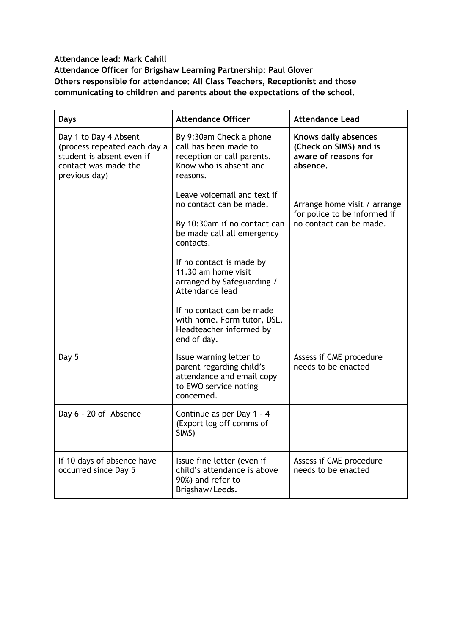## **Attendance lead: Mark Cahill Attendance Officer for Brigshaw Learning Partnership: Paul Glover Others responsible for attendance: All Class Teachers, Receptionist and those communicating to children and parents about the expectations of the school.**

| <b>Days</b>                                                                                                                 | <b>Attendance Officer</b>                                                                                               | <b>Attendance Lead</b>                                                             |
|-----------------------------------------------------------------------------------------------------------------------------|-------------------------------------------------------------------------------------------------------------------------|------------------------------------------------------------------------------------|
| Day 1 to Day 4 Absent<br>(process repeated each day a<br>student is absent even if<br>contact was made the<br>previous day) | By 9:30am Check a phone<br>call has been made to<br>reception or call parents.<br>Know who is absent and<br>reasons.    | Knows daily absences<br>(Check on SIMS) and is<br>aware of reasons for<br>absence. |
|                                                                                                                             | Leave voicemail and text if<br>no contact can be made.                                                                  | Arrange home visit / arrange<br>for police to be informed if                       |
|                                                                                                                             | By 10:30am if no contact can<br>be made call all emergency<br>contacts.                                                 | no contact can be made.                                                            |
|                                                                                                                             | If no contact is made by<br>11.30 am home visit<br>arranged by Safeguarding /<br>Attendance lead                        |                                                                                    |
|                                                                                                                             | If no contact can be made<br>with home. Form tutor, DSL,<br>Headteacher informed by<br>end of day.                      |                                                                                    |
| Day 5                                                                                                                       | Issue warning letter to<br>parent regarding child's<br>attendance and email copy<br>to EWO service noting<br>concerned. | Assess if CME procedure<br>needs to be enacted                                     |
| Day 6 - 20 of Absence                                                                                                       | Continue as per Day 1 - 4<br>(Export log off comms of<br>SIMS)                                                          |                                                                                    |
| If 10 days of absence have<br>occurred since Day 5                                                                          | Issue fine letter (even if<br>child's attendance is above<br>90%) and refer to<br>Brigshaw/Leeds.                       | Assess if CME procedure<br>needs to be enacted                                     |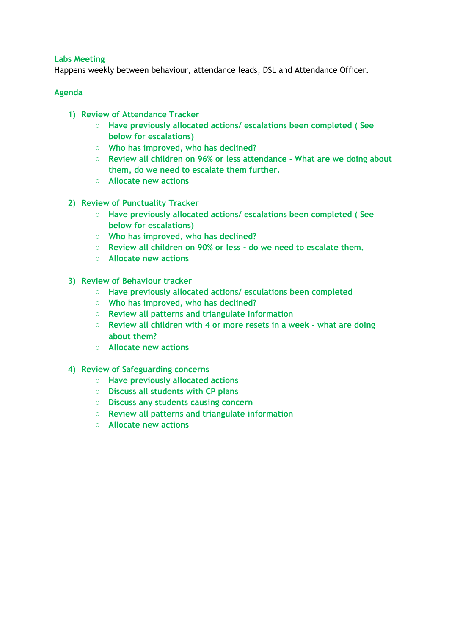## <span id="page-4-0"></span>**Labs Meeting**

Happens weekly between behaviour, attendance leads, DSL and Attendance Officer.

## **Agenda**

- **1) Review of Attendance Tracker**
	- **Have previously allocated actions/ escalations been completed ( See below for escalations)**
	- **Who has improved, who has declined?**
	- **Review all children on 96% or less attendance - What are we doing about them, do we need to escalate them further.**
	- **Allocate new actions**
- **2) Review of Punctuality Tracker**
	- **Have previously allocated actions/ escalations been completed ( See below for escalations)**
	- **Who has improved, who has declined?**
	- **Review all children on 90% or less - do we need to escalate them.**
	- **Allocate new actions**
- **3) Review of Behaviour tracker**
	- **Have previously allocated actions/ esculations been completed**
	- **Who has improved, who has declined?**
	- **Review all patterns and triangulate information**
	- **Review all children with 4 or more resets in a week - what are doing about them?**
	- **Allocate new actions**
- **4) Review of Safeguarding concerns**
	- **Have previously allocated actions**
	- **Discuss all students with CP plans**
	- **Discuss any students causing concern**
	- **Review all patterns and triangulate information**
	- **Allocate new actions**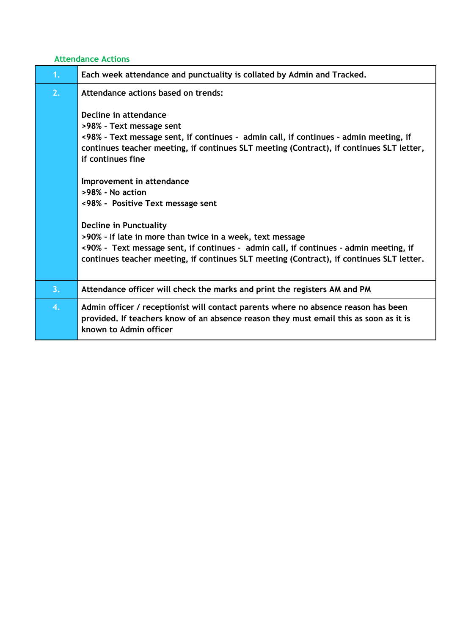# <span id="page-5-0"></span>**Attendance Actions**

| 1 <sub>1</sub> | Each week attendance and punctuality is collated by Admin and Tracked.                                                                                                                                                                                                   |
|----------------|--------------------------------------------------------------------------------------------------------------------------------------------------------------------------------------------------------------------------------------------------------------------------|
| 2.             | Attendance actions based on trends:<br>Decline in attendance<br>>98% - Text message sent<br><98% - Text message sent, if continues - admin call, if continues - admin meeting, if                                                                                        |
|                | continues teacher meeting, if continues SLT meeting (Contract), if continues SLT letter,<br>if continues fine<br>Improvement in attendance<br>>98% - No action<br><98% - Positive Text message sent                                                                      |
|                | Decline in Punctuality<br>>90% - If late in more than twice in a week, text message<br><90% - Text message sent, if continues - admin call, if continues - admin meeting, if<br>continues teacher meeting, if continues SLT meeting (Contract), if continues SLT letter. |
| 3.             | Attendance officer will check the marks and print the registers AM and PM                                                                                                                                                                                                |
| 4.             | Admin officer / receptionist will contact parents where no absence reason has been<br>provided. If teachers know of an absence reason they must email this as soon as it is<br>known to Admin officer                                                                    |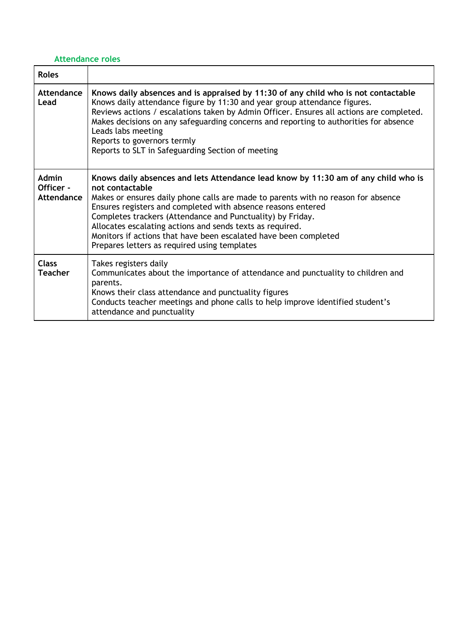# <span id="page-6-0"></span>**Attendance roles**

| <b>Roles</b>                            |                                                                                                                                                                                                                                                                                                                                                                                                                                                                                                           |
|-----------------------------------------|-----------------------------------------------------------------------------------------------------------------------------------------------------------------------------------------------------------------------------------------------------------------------------------------------------------------------------------------------------------------------------------------------------------------------------------------------------------------------------------------------------------|
| Attendance<br>Lead                      | Knows daily absences and is appraised by 11:30 of any child who is not contactable<br>Knows daily attendance figure by 11:30 and year group attendance figures.<br>Reviews actions / escalations taken by Admin Officer. Ensures all actions are completed.<br>Makes decisions on any safeguarding concerns and reporting to authorities for absence<br>Leads labs meeting<br>Reports to governors termly<br>Reports to SLT in Safeguarding Section of meeting                                            |
| <b>Admin</b><br>Officer -<br>Attendance | Knows daily absences and lets Attendance lead know by 11:30 am of any child who is<br>not contactable<br>Makes or ensures daily phone calls are made to parents with no reason for absence<br>Ensures registers and completed with absence reasons entered<br>Completes trackers (Attendance and Punctuality) by Friday.<br>Allocates escalating actions and sends texts as required.<br>Monitors if actions that have been escalated have been completed<br>Prepares letters as required using templates |
| <b>Class</b><br><b>Teacher</b>          | Takes registers daily<br>Communicates about the importance of attendance and punctuality to children and<br>parents.<br>Knows their class attendance and punctuality figures<br>Conducts teacher meetings and phone calls to help improve identified student's<br>attendance and punctuality                                                                                                                                                                                                              |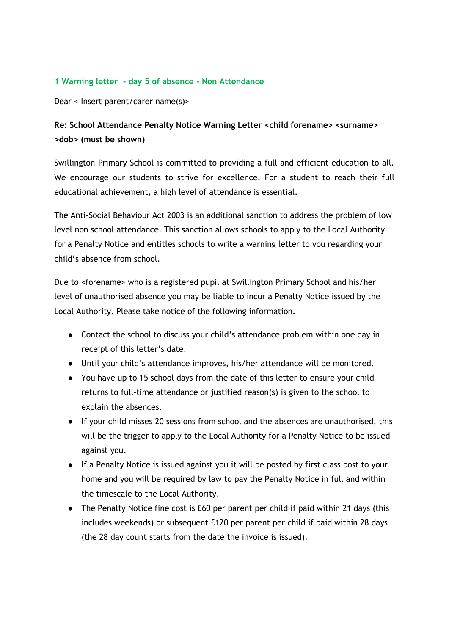## <span id="page-7-0"></span>**1 Warning letter - day 5 of absence - Non Attendance**

Dear < Insert parent/carer name(s)>

# **Re: School Attendance Penalty Notice Warning Letter <child forename> <surname> >dob> (must be shown)**

Swillington Primary School is committed to providing a full and efficient education to all. We encourage our students to strive for excellence. For a student to reach their full educational achievement, a high level of attendance is essential.

The Anti-Social Behaviour Act 2003 is an additional sanction to address the problem of low level non school attendance. This sanction allows schools to apply to the Local Authority for a Penalty Notice and entitles schools to write a warning letter to you regarding your child's absence from school.

Due to <forename> who is a registered pupil at Swillington Primary School and his/her level of unauthorised absence you may be liable to incur a Penalty Notice issued by the Local Authority. Please take notice of the following information.

- Contact the school to discuss your child's attendance problem within one day in receipt of this letter's date.
- Until your child's attendance improves, his/her attendance will be monitored.
- You have up to 15 school days from the date of this letter to ensure your child returns to full-time attendance or justified reason(s) is given to the school to explain the absences.
- If your child misses 20 sessions from school and the absences are unauthorised, this will be the trigger to apply to the Local Authority for a Penalty Notice to be issued against you.
- If a Penalty Notice is issued against you it will be posted by first class post to your home and you will be required by law to pay the Penalty Notice in full and within the timescale to the Local Authority.
- The Penalty Notice fine cost is £60 per parent per child if paid within 21 days (this includes weekends) or subsequent £120 per parent per child if paid within 28 days (the 28 day count starts from the date the invoice is issued).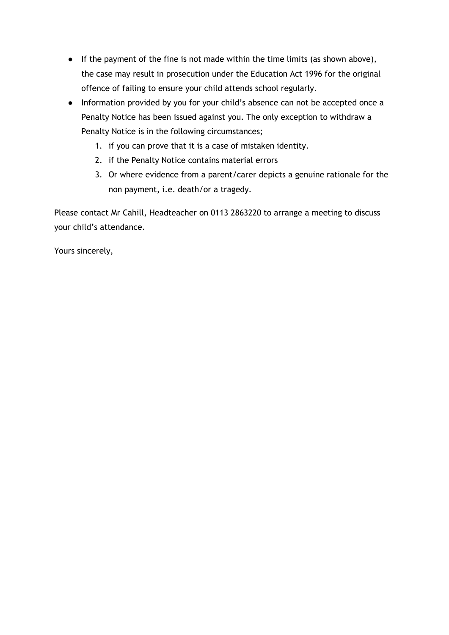- If the payment of the fine is not made within the time limits (as shown above), the case may result in prosecution under the Education Act 1996 for the original offence of failing to ensure your child attends school regularly.
- Information provided by you for your child's absence can not be accepted once a Penalty Notice has been issued against you. The only exception to withdraw a Penalty Notice is in the following circumstances;
	- 1. if you can prove that it is a case of mistaken identity.
	- 2. if the Penalty Notice contains material errors
	- 3. Or where evidence from a parent/carer depicts a genuine rationale for the non payment, i.e. death/or a tragedy.

Please contact Mr Cahill, Headteacher on 0113 2863220 to arrange a meeting to discuss your child's attendance.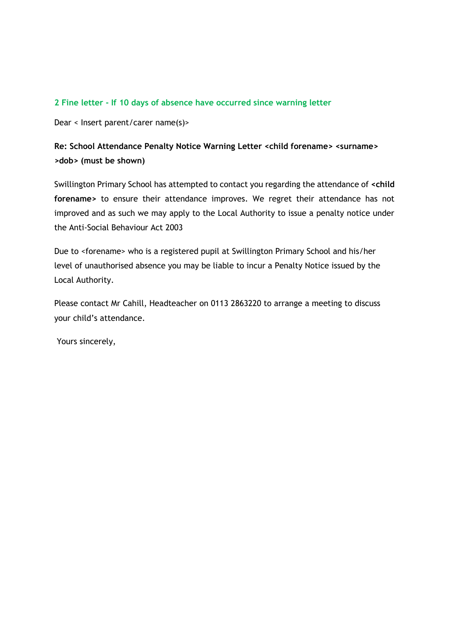## <span id="page-9-0"></span>**2 Fine letter - If 10 days of absence have occurred since warning letter**

Dear < Insert parent/carer name(s)>

# **Re: School Attendance Penalty Notice Warning Letter <child forename> <surname> >dob> (must be shown)**

Swillington Primary School has attempted to contact you regarding the attendance of **<child forename>** to ensure their attendance improves. We regret their attendance has not improved and as such we may apply to the Local Authority to issue a penalty notice under the Anti-Social Behaviour Act 2003

Due to <forename> who is a registered pupil at Swillington Primary School and his/her level of unauthorised absence you may be liable to incur a Penalty Notice issued by the Local Authority.

Please contact Mr Cahill, Headteacher on 0113 2863220 to arrange a meeting to discuss your child's attendance.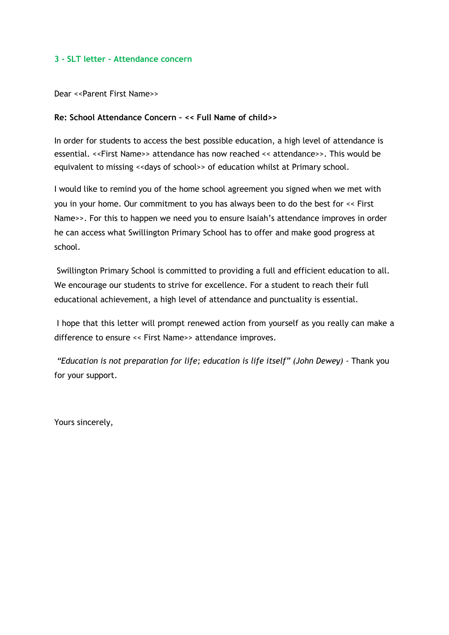### <span id="page-10-0"></span>**3 - SLT letter - Attendance concern**

Dear <<Parent First Name>>

#### **Re: School Attendance Concern – << Full Name of child>>**

In order for students to access the best possible education, a high level of attendance is essential. <<First Name>> attendance has now reached << attendance>>. This would be equivalent to missing << days of school>> of education whilst at Primary school.

I would like to remind you of the home school agreement you signed when we met with you in your home. Our commitment to you has always been to do the best for << First Name>>. For this to happen we need you to ensure Isaiah's attendance improves in order he can access what Swillington Primary School has to offer and make good progress at school.

Swillington Primary School is committed to providing a full and efficient education to all. We encourage our students to strive for excellence. For a student to reach their full educational achievement, a high level of attendance and punctuality is essential.

I hope that this letter will prompt renewed action from yourself as you really can make a difference to ensure << First Name>> attendance improves.

*"Education is not preparation for life; education is life itself" (John Dewey) -* Thank you for your support.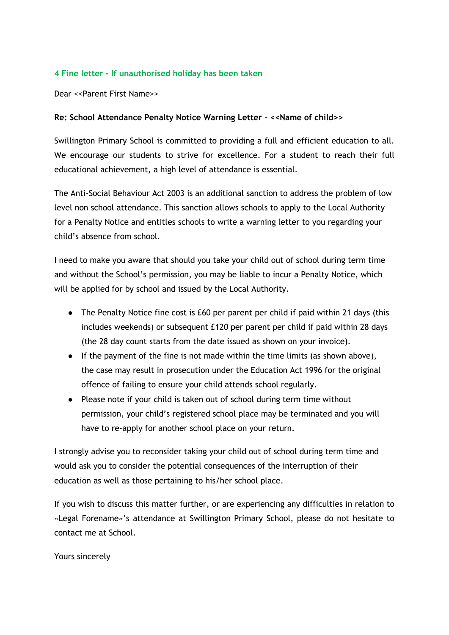## <span id="page-11-0"></span>**4 Fine letter - If unauthorised holiday has been taken**

Dear <<Parent First Name>>

## **Re: School Attendance Penalty Notice Warning Letter – <<Name of child>>**

Swillington Primary School is committed to providing a full and efficient education to all. We encourage our students to strive for excellence. For a student to reach their full educational achievement, a high level of attendance is essential.

The Anti-Social Behaviour Act 2003 is an additional sanction to address the problem of low level non school attendance. This sanction allows schools to apply to the Local Authority for a Penalty Notice and entitles schools to write a warning letter to you regarding your child's absence from school.

I need to make you aware that should you take your child out of school during term time and without the School's permission, you may be liable to incur a Penalty Notice, which will be applied for by school and issued by the Local Authority.

- The Penalty Notice fine cost is £60 per parent per child if paid within 21 days (this includes weekends) or subsequent £120 per parent per child if paid within 28 days (the 28 day count starts from the date issued as shown on your invoice).
- If the payment of the fine is not made within the time limits (as shown above), the case may result in prosecution under the Education Act 1996 for the original offence of failing to ensure your child attends school regularly.
- Please note if your child is taken out of school during term time without permission, your child's registered school place may be terminated and you will have to re-apply for another school place on your return.

I strongly advise you to reconsider taking your child out of school during term time and would ask you to consider the potential consequences of the interruption of their education as well as those pertaining to his/her school place.

If you wish to discuss this matter further, or are experiencing any difficulties in relation to «Legal Forename»'s attendance at Swillington Primary School, please do not hesitate to contact me at School.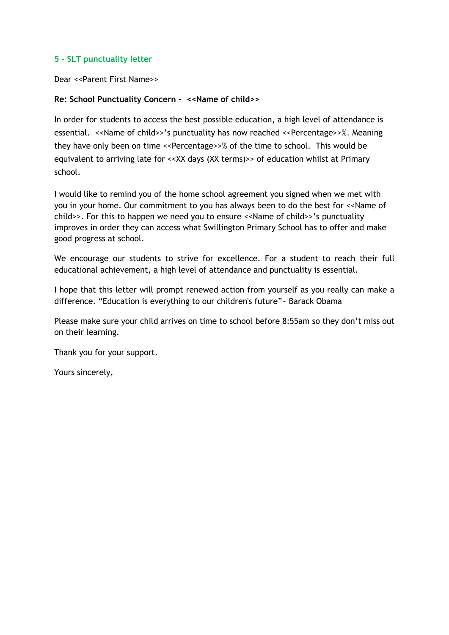## <span id="page-12-0"></span>**5 - SLT punctuality letter**

Dear <<Parent First Name>>

## **Re: School Punctuality Concern – <<Name of child>>**

In order for students to access the best possible education, a high level of attendance is essential. <<Name of child>>'s punctuality has now reached <<Percentage>>%. Meaning they have only been on time <<Percentage>>% of the time to school. This would be equivalent to arriving late for <<XX days (XX terms)>> of education whilst at Primary school.

I would like to remind you of the home school agreement you signed when we met with you in your home. Our commitment to you has always been to do the best for <<Name of child>>. For this to happen we need you to ensure <<Name of child>>'s punctuality improves in order they can access what Swillington Primary School has to offer and make good progress at school.

We encourage our students to strive for excellence. For a student to reach their full educational achievement, a high level of attendance and punctuality is essential.

I hope that this letter will prompt renewed action from yourself as you really can make a difference. "Education is everything to our children's future"~ Barack Obama

Please make sure your child arrives on time to school before 8:55am so they don't miss out on their learning.

Thank you for your support.